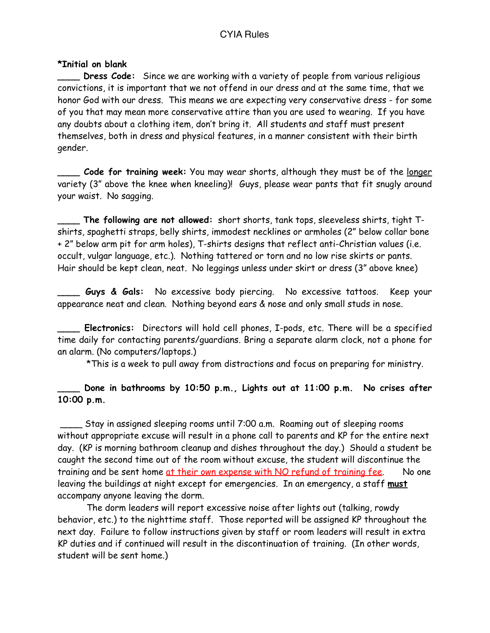## CYIA Rules

## **\*Initial on blank**

**Dress Code:** Since we are working with a variety of people from various religious convictions, it is important that we not offend in our dress and at the same time, that we honor God with our dress. This means we are expecting very conservative dress - for some of you that may mean more conservative attire than you are used to wearing. If you have any doubts about a clothing item, don't bring it. All students and staff must present themselves, both in dress and physical features, in a manner consistent with their birth gender.

**\_\_\_\_ Code for training week:** You may wear shorts, although they must be of the longer variety (3" above the knee when kneeling)! Guys, please wear pants that fit snugly around your waist. No sagging.

**\_\_\_\_ The following are not allowed:** short shorts, tank tops, sleeveless shirts, tight Tshirts, spaghetti straps, belly shirts, immodest necklines or armholes (2" below collar bone + 2" below arm pit for arm holes), T-shirts designs that reflect anti-Christian values (i.e. occult, vulgar language, etc.). Nothing tattered or torn and no low rise skirts or pants. Hair should be kept clean, neat. No leggings unless under skirt or dress (3" above knee)

Guys & Gals: No excessive body piercing. No excessive tattoos. Keep your appearance neat and clean. Nothing beyond ears & nose and only small studs in nose.

**\_\_\_\_ Electronics:** Directors will hold cell phones, I-pods, etc. There will be a specified time daily for contacting parents/guardians. Bring a separate alarm clock, not a phone for an alarm. (No computers/laptops.)

\*This is a week to pull away from distractions and focus on preparing for ministry.

## Done in bathrooms by 10:50 p.m., Lights out at 11:00 p.m. No crises after **10:00 p.m.**

 \_\_\_\_ Stay in assigned sleeping rooms until 7:00 a.m. Roaming out of sleeping rooms without appropriate excuse will result in a phone call to parents and KP for the entire next day. (KP is morning bathroom cleanup and dishes throughout the day.) Should a student be caught the second time out of the room without excuse, the student will discontinue the training and be sent home at their own expense with NO refund of training fee. No one leaving the buildings at night except for emergencies. In an emergency, a staff **must** accompany anyone leaving the dorm.

 The dorm leaders will report excessive noise after lights out (talking, rowdy behavior, etc.) to the nighttime staff. Those reported will be assigned KP throughout the next day. Failure to follow instructions given by staff or room leaders will result in extra KP duties and if continued will result in the discontinuation of training. (In other words, student will be sent home.)